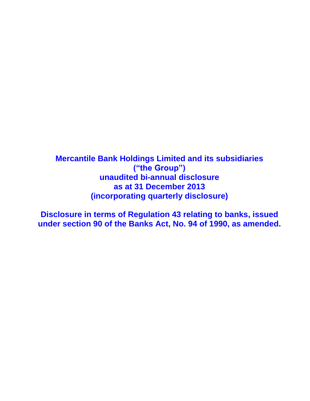**Mercantile Bank Holdings Limited and its subsidiaries ("the Group") unaudited bi-annual disclosure as at 31 December 2013 (incorporating quarterly disclosure)**

**Disclosure in terms of Regulation 43 relating to banks, issued under section 90 of the Banks Act, No. 94 of 1990, as amended.**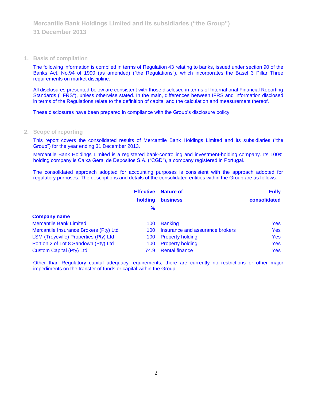#### **1. Basis of compilation**

The following information is compiled in terms of Regulation 43 relating to banks, issued under section 90 of the Banks Act, No.94 of 1990 (as amended) ("the Regulations"), which incorporates the Basel 3 Pillar Three requirements on market discipline.

All disclosures presented below are consistent with those disclosed in terms of International Financial Reporting Standards ("IFRS"), unless otherwise stated. In the main, differences between IFRS and information disclosed in terms of the Regulations relate to the definition of capital and the calculation and measurement thereof.

These disclosures have been prepared in compliance with the Group's disclosure policy.

#### **2. Scope of reporting**

This report covers the consolidated results of Mercantile Bank Holdings Limited and its subsidiaries ("the Group") for the year ending 31 December 2013.

Mercantile Bank Holdings Limited is a registered bank-controlling and investment-holding company. Its 100% holding company is Caixa Geral de Depósitos S.A. ("CGD"), a company registered in Portugal.

The consolidated approach adopted for accounting purposes is consistent with the approach adopted for regulatory purposes. The descriptions and details of the consolidated entities within the Group are as follows:

|                                        | <b>Effective</b> | <b>Nature of</b>                | <b>Fully</b> |
|----------------------------------------|------------------|---------------------------------|--------------|
|                                        | holding          | <b>business</b>                 | consolidated |
|                                        | $\frac{9}{6}$    |                                 |              |
| <b>Company name</b>                    |                  |                                 |              |
| <b>Mercantile Bank Limited</b>         | 100              | <b>Banking</b>                  | <b>Yes</b>   |
| Mercantile Insurance Brokers (Pty) Ltd | 100              | Insurance and assurance brokers | <b>Yes</b>   |
| LSM (Troyeville) Properties (Pty) Ltd  | 100              | <b>Property holding</b>         | <b>Yes</b>   |
| Portion 2 of Lot 8 Sandown (Pty) Ltd   | 100              | <b>Property holding</b>         | <b>Yes</b>   |
| <b>Custom Capital (Pty) Ltd</b>        | 74.9             | <b>Rental finance</b>           | <b>Yes</b>   |

Other than Regulatory capital adequacy requirements, there are currently no restrictions or other major impediments on the transfer of funds or capital within the Group.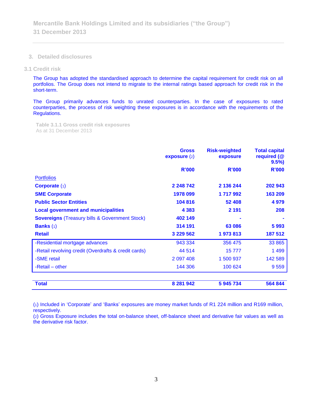**3. Detailed disclosures**

#### **3.1 Credit risk**

The Group has adopted the standardised approach to determine the capital requirement for credit risk on all portfolios. The Group does not intend to migrate to the internal ratings based approach for credit risk in the short-term.

The Group primarily advances funds to unrated counterparties. In the case of exposures to rated counterparties, the process of risk weighting these exposures is in accordance with the requirements of the Regulations.

**Table 3.1.1 Gross credit risk exposures**  As at 31 December 2013

|                                                           | <b>Gross</b><br>exposure $(2)$ | <b>Risk-weighted</b><br>exposure | <b>Total capital</b><br>required (@<br>9.5% |
|-----------------------------------------------------------|--------------------------------|----------------------------------|---------------------------------------------|
|                                                           | R'000                          | R'000                            | <b>R'000</b>                                |
| <b>Portfolios</b>                                         |                                |                                  |                                             |
| <b>Corporate (1)</b>                                      | 2 248 742                      | 2 136 244                        | 202 943                                     |
| <b>SME Corporate</b>                                      | 1978 099                       | 1717992                          | 163 209                                     |
| <b>Public Sector Entities</b>                             | 104 816                        | 52 408                           | 4979                                        |
| <b>Local government and municipalities</b>                | 4 3 8 3                        | 2 1 9 1                          | 208                                         |
| <b>Sovereigns (Treasury bills &amp; Government Stock)</b> | 402 149                        |                                  |                                             |
| <b>Banks</b> $(1)$                                        | 314 191                        | 63 086                           | 5993                                        |
| <b>Retail</b>                                             | 3 229 562                      | 1973813                          | 187 512                                     |
| -Residential mortgage advances                            | 943 334                        | 356 475                          | 33 865                                      |
| -Retail revolving credit (Overdrafts & credit cards)      | 44 514                         | 15777                            | 1 4 9 9                                     |
| -SME retail                                               | 2 097 408                      | 1 500 937                        | 142 589                                     |
| -Retail – other                                           | 144 306                        | 100 624                          | 9559                                        |
|                                                           |                                |                                  |                                             |
| <b>Total</b>                                              | 8 281 942                      | 5 945 734                        | 564 844                                     |

(1) Included in 'Corporate' and 'Banks' exposures are money market funds of R1 224 million and R169 million, respectively.

(2) Gross Exposure includes the total on-balance sheet, off-balance sheet and derivative fair values as well as the derivative risk factor.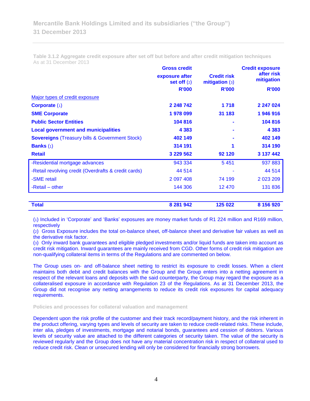**Gross credit Credit exposure after risk exposure after Credit risk diter itsk**<br>**exposure after exposure the contract of the mitigation set off** (2) **Credit risk mitigation** (3) **R'000 R'000 R'000** Major types of credit exposure **Corporate** (1) 2 248 742 1 718 2 247 024 **SME Corporate 1 878 099 31 183 1 946 916 1 978 099 31 183 1 946 916 Public Sector Entities 104 816 - 104 816 Local government and municipalities 4 383 - 4 383 Sovereigns** (Treasury bills & Government Stock) 402 149 **402 149** 402 149 **Banks** (1) 314 191 **314 191 1 314 190 Retail 3 229 562 92 120 3 137 442** -Residential mortgage advances and the settlement of the settlement of the settlement of the settlement of the set of the set of the set of the set of the set of the set of the set of the set of the set of the set of the s -Retail revolving credit (Overdrafts & credit cards) 44 514 - 44 514 - 44 514 -SME retail 2 097 408 74 199 2 023 209 -Retail – other 131 836 12 470 131 836 **Total 8 281 942 125 022 8 156 920**

**Table 3.1.2 Aggregate credit exposure after set off but before and after credit mitigation techniques** As at 31 December 2013

(1) Included in 'Corporate' and 'Banks' exposures are money market funds of R1 224 million and R169 million, respectively

(2) Gross Exposure includes the total on-balance sheet, off-balance sheet and derivative fair values as well as the derivative risk factor.

(3) Only inward bank guarantees and eligible pledged investments and/or liquid funds are taken into account as credit risk mitigation. Inward guarantees are mainly received from CGD. Other forms of credit risk mitigation are non-qualifying collateral items in terms of the Regulations and are commented on below.

The Group uses on- and off-balance sheet netting to restrict its exposure to credit losses. When a client maintains both debit and credit balances with the Group and the Group enters into a netting agreement in respect of the relevant loans and deposits with the said counterparty, the Group may regard the exposure as a collateralised exposure in accordance with Regulation 23 of the Regulations. As at 31 December 2013, the Group did not recognise any netting arrangements to reduce its credit risk exposures for capital adequacy requirements.

**Policies and processes for collateral valuation and management**

Dependent upon the risk profile of the customer and their track record/payment history, and the risk inherent in the product offering, varying types and levels of security are taken to reduce credit-related risks. These include, inter alia, pledges of investments, mortgage and notarial bonds, guarantees and cession of debtors. Various levels of security value are attached to the different categories of security taken. The value of the security is reviewed regularly and the Group does not have any material concentration risk in respect of collateral used to reduce credit risk. Clean or unsecured lending will only be considered for financially strong borrowers.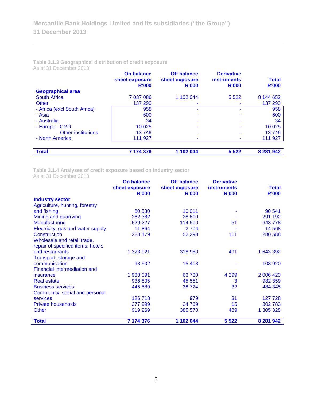| Table 3.1.3 Geographical distribution of credit exposure |  |  |
|----------------------------------------------------------|--|--|
| As at 31 December 2013                                   |  |  |

|                              | On balance<br>sheet exposure<br><b>R'000</b> | <b>Off balance</b><br>sheet exposure<br><b>R'000</b> | <b>Derivative</b><br><b>instruments</b><br><b>R'000</b> | <b>Total</b><br><b>R'000</b> |
|------------------------------|----------------------------------------------|------------------------------------------------------|---------------------------------------------------------|------------------------------|
| <b>Geographical area</b>     |                                              |                                                      |                                                         |                              |
| <b>South Africa</b>          | 7 037 086                                    | 1 102 044                                            | 5 5 2 2                                                 | 8 144 652                    |
| <b>Other</b>                 | 137 290                                      | ۰                                                    |                                                         | 137 290                      |
| - Africa (excl South Africa) | 958                                          |                                                      |                                                         | 958                          |
| - Asia                       | 600                                          | ۰                                                    |                                                         | 600                          |
| - Australia                  | 34                                           | ۰                                                    |                                                         | 34                           |
| - Europe - CGD               | 10 0 25                                      |                                                      |                                                         | 10 0 25                      |
| - Other institutions         | 13746                                        |                                                      |                                                         | 13746                        |
| - North America              | 111 927                                      | ۰                                                    |                                                         | 111 927                      |
|                              |                                              |                                                      |                                                         |                              |
| <b>Total</b>                 | 7 174 376                                    | 1 102 044                                            | 5 5 2 2                                                 | 8 281 942                    |

**Table 3.1.4 Analyses of credit exposure based on industry sector**

As at 31 December 2013

|                                     | <b>On balance</b> | <b>Off balance</b> | <b>Derivative</b>  |              |
|-------------------------------------|-------------------|--------------------|--------------------|--------------|
|                                     | sheet exposure    | sheet exposure     | <b>instruments</b> | <b>Total</b> |
|                                     | <b>R'000</b>      | <b>R'000</b>       | <b>R'000</b>       | <b>R'000</b> |
| <b>Industry sector</b>              |                   |                    |                    |              |
| Agriculture, hunting, forestry      |                   |                    |                    |              |
| and fishing                         | 80 530            | 10 011             |                    | 90 541       |
| Mining and quarrying                | 262 382           | 28 810             |                    | 291 192      |
| <b>Manufacturing</b>                | 529 227           | 114 500            | 51                 | 643778       |
| Electricity, gas and water supply   | 11864             | 2 7 0 4            |                    | 14 5 68      |
| Construction                        | 228 179           | 52 298             | 111                | 280 588      |
| Wholesale and retail trade,         |                   |                    |                    |              |
| repair of specified items, hotels   |                   |                    |                    |              |
| and restaurants                     | 1 323 921         | 318 980            | 491                | 1 643 392    |
| Transport, storage and              |                   |                    |                    |              |
| communication                       | 93 502            | 15418              |                    | 108 920      |
| <b>Financial intermediation and</b> |                   |                    |                    |              |
| insurance                           | 1938391           | 63730              | 4 2 9 9            | 2 006 420    |
| <b>Real estate</b>                  | 936 805           | 45 551             | 3                  | 982 359      |
| <b>Business services</b>            | 445 589           | 38724              | 32                 | 484 345      |
| Community, social and personal      |                   |                    |                    |              |
| <b>services</b>                     | 126 718           | 979                | 31                 | 127 728      |
| <b>Private households</b>           | 277 999           | 24 769             | 15                 | 302783       |
| <b>Other</b>                        | 919 269           | 385 570            | 489                | 1 305 328    |
| <b>Total</b>                        | 7 174 376         | 1 102 044          | 5 5 2 2            | 8 281 942    |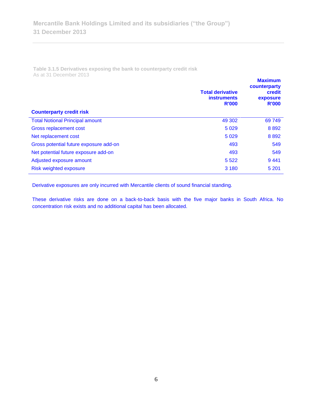**Table 3.1.5 Derivatives exposing the bank to counterparty credit risk**  As at 31 December 2013

| counterparty<br><b>Total derivative</b><br><b>instruments</b><br><b>R'000</b> | credit<br>exposure<br><b>R'000</b> |
|-------------------------------------------------------------------------------|------------------------------------|
| <b>Counterparty credit risk</b>                                               |                                    |
| <b>Total Notional Principal amount</b><br>49 302                              | 69 749                             |
| Gross replacement cost<br>5 0 2 9                                             | 8892                               |
| Net replacement cost<br>5 0 2 9                                               | 8892                               |
| Gross potential future exposure add-on<br>493                                 | 549                                |
| Net potential future exposure add-on<br>493                                   | 549                                |
| 5 5 2 2<br>Adjusted exposure amount                                           | 9441                               |
| Risk weighted exposure<br>3 1 8 0                                             | 5 2 0 1                            |

Derivative exposures are only incurred with Mercantile clients of sound financial standing.

These derivative risks are done on a back-to-back basis with the five major banks in South Africa. No concentration risk exists and no additional capital has been allocated.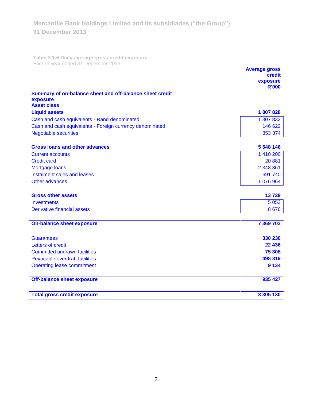**Table 3.1.6 Daily average gross credit exposure**  For the year ended 31 December 2013

|                                                          | <b>Average gross</b><br>credit<br>exposure |
|----------------------------------------------------------|--------------------------------------------|
|                                                          | <b>R'000</b>                               |
| Summary of on-balance sheet and off-balance sheet credit |                                            |
| exposure<br><b>Asset class</b>                           |                                            |
| <b>Liquid assets</b>                                     | 1807828                                    |
| Cash and cash equivalents - Rand denominated             | 1 307 832                                  |
| Cash and cash equivalents - Foreign currency denominated | 146 622                                    |
| <b>Negotiable securities</b>                             | 353 374                                    |
|                                                          |                                            |
| <b>Gross loans and other advances</b>                    | 5 548 146                                  |
| <b>Current accounts</b>                                  | 1 410 200                                  |
| <b>Credit card</b>                                       | 20881                                      |
| Mortgage loans                                           | 2 348 361                                  |
| Instalment sales and leases                              | 691 740                                    |
| Other advances                                           | 1 076 964                                  |
| <b>Gross other assets</b>                                | 13729                                      |
| <b>Investments</b>                                       | 5 0 5 3                                    |
| <b>Derivative financial assets</b>                       | 8676                                       |
| <b>On-balance sheet exposure</b>                         | 7 369 703                                  |
|                                                          |                                            |
| <b>Guarantees</b>                                        | 330 230                                    |
| Letters of credit                                        | 22 436                                     |
| <b>Committed undrawn facilities</b>                      | 75 308                                     |
| Revocable overdraft facilities                           | 498 319                                    |
| <b>Operating lease commitment</b>                        | 9 1 3 4                                    |
| <b>Off-balance sheet exposure</b>                        | 935 427                                    |
| <b>Total gross credit exposure</b>                       | 8 305 130                                  |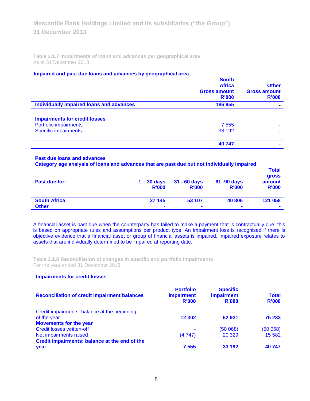**Table 3.1.7 Impairments of loans and advances per geographical area**  As at 31 December 2013

## **Impaired and past due loans and advances by geographical area**

|                                          | <b>South</b><br><b>Africa</b><br><b>Gross amount</b><br>R'000 | <b>Other</b><br><b>Gross amount</b><br>R'000 |
|------------------------------------------|---------------------------------------------------------------|----------------------------------------------|
| Individually impaired loans and advances | 186 955                                                       |                                              |
| <b>Impairments for credit losses</b>     |                                                               |                                              |
| Portfolio impairments                    | 7 5 5 5                                                       |                                              |
| <b>Specific impairments</b>              | 33 192                                                        |                                              |
|                                          | 40747                                                         |                                              |
|                                          |                                                               |                                              |

#### **Past due loans and advances**

**Category age analysis of loans and advances that are past due but not individually impaired** 

| Past due for:       | $1 - 30$ days<br><b>R'000</b> | $31 - 60$ days<br><b>R'000</b> | 61 -90 days<br><b>R'000</b> | <b>Total</b><br>gross<br>amount<br><b>R'000</b> |
|---------------------|-------------------------------|--------------------------------|-----------------------------|-------------------------------------------------|
| <b>South Africa</b> | 27 145                        | 53 107                         | 40 806                      | 121 058                                         |
| <b>Other</b>        | $\blacksquare$                | $\overline{\phantom{a}}$       | $\blacksquare$              | $\blacksquare$                                  |

A financial asset is past due when the counterparty has failed to make a payment that is contractually due; this is based on appropriate rules and assumptions per product type. An impairment loss is recognised if there is objective evidence that a financial asset or group of financial assets is impaired. Impaired exposure relates to assets that are individually determined to be impaired at reporting date.

**Table 3.1.8 Reconciliation of changes in specific and portfolio impairments**  For the year ended 31 December 2013

# **Impairments for credit losses**

| <b>Reconciliation of credit impairment balances</b> | <b>Portfolio</b><br><b>impairment</b><br>R'000 | <b>Specific</b><br>impairment<br>R'000 | <b>Total</b><br>R'000 |
|-----------------------------------------------------|------------------------------------------------|----------------------------------------|-----------------------|
| Credit impairments: balance at the beginning        |                                                |                                        |                       |
| of the year                                         | 12 302                                         | 62 931                                 | 75 233                |
| <b>Movements for the year</b>                       |                                                |                                        |                       |
| Credit losses written-off                           | ٠                                              | (50068)                                | (50068)               |
| Net impairments raised                              | (4 747)                                        | 20 3 29                                | 15 5 82               |
| Credit impairments: balance at the end of the       |                                                |                                        |                       |
| year                                                | 7 5 5 5                                        | 33 192                                 | 40 747                |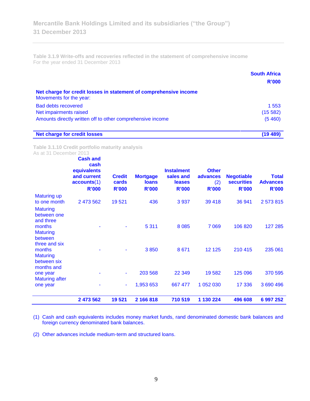**Table 3.1.9 Write-offs and recoveries reflected in the statement of comprehensive income** For the year ended 31 December 2013

|                                                                                              | <b>South Africa</b><br>R'000 |
|----------------------------------------------------------------------------------------------|------------------------------|
| Net charge for credit losses in statement of comprehensive income<br>Movements for the year: |                              |
| <b>Bad debts recovered</b>                                                                   | 1 553                        |
| Net impairments raised                                                                       | (15582)                      |
| Amounts directly written off to other comprehensive income                                   | (5460)                       |
| <b>Net charge for credit losses</b>                                                          | (19489)                      |

**Table 3.1.10 Credit portfolio maturity analysis** As at 31 December 2013

|                                                       | 2 473 562                                                                            | 19 5 21                                | 2 166 818                                       | 710 519                                                  | 1 130 224                                       | 496 608                                                | 6 997 252                                       |
|-------------------------------------------------------|--------------------------------------------------------------------------------------|----------------------------------------|-------------------------------------------------|----------------------------------------------------------|-------------------------------------------------|--------------------------------------------------------|-------------------------------------------------|
| one year                                              |                                                                                      | ٠                                      | 1,953 653                                       | 667 477                                                  | 1 052 030                                       | 17 336                                                 | 3 690 496                                       |
| months and<br>one year<br><b>Maturing after</b>       |                                                                                      | ۰                                      | 203 568                                         | 22 349                                                   | 19582                                           | 125 096                                                | 370 595                                         |
| months<br><b>Maturing</b><br>between six              |                                                                                      |                                        | 3850                                            | 8 6 7 1                                                  | 12 1 25                                         | 210 415                                                | 235 061                                         |
| months<br><b>Maturing</b><br>between<br>three and six |                                                                                      |                                        | 5 3 1 1                                         | 8 0 8 5                                                  | 7 0 6 9                                         | 106 820                                                | 127 285                                         |
| <b>Maturing</b><br>between one<br>and three           |                                                                                      |                                        |                                                 |                                                          |                                                 |                                                        |                                                 |
| <b>Maturing up</b><br>to one month                    | 2 473 562                                                                            | 19521                                  | 436                                             | 3 9 3 7                                                  | 39 4 18                                         | 36 941                                                 | 2573815                                         |
|                                                       | <b>Cash and</b><br>cash<br>equivalents<br>and current<br>accounts(1)<br><b>R'000</b> | <b>Credit</b><br>cards<br><b>R'000</b> | <b>Mortgage</b><br><b>loans</b><br><b>R'000</b> | <b>Instalment</b><br>sales and<br>leases<br><b>R'000</b> | <b>Other</b><br>advances<br>(2)<br><b>R'000</b> | <b>Negotiable</b><br><b>securities</b><br><b>R'000</b> | <b>Total</b><br><b>Advances</b><br><b>R'000</b> |

(1) Cash and cash equivalents includes money market funds, rand denominated domestic bank balances and foreign currency denominated bank balances.

(2) Other advances include medium-term and structured loans.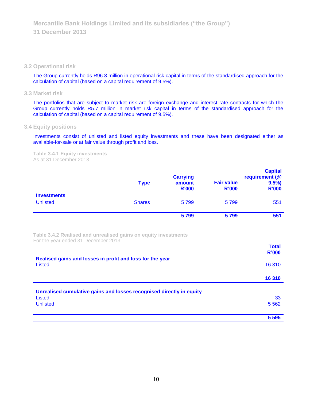#### **3.2 Operational risk**

The Group currently holds R96.8 million in operational risk capital in terms of the standardised approach for the calculation of capital (based on a capital requirement of 9.5%).

**3.3 Market risk**

The portfolios that are subject to market risk are foreign exchange and interest rate contracts for which the Group currently holds R5.7 million in market risk capital in terms of the standardised approach for the calculation of capital (based on a capital requirement of 9.5%).

# **3.4 Equity positions**

Investments consist of unlisted and listed equity investments and these have been designated either as available-for-sale or at fair value through profit and loss.

**Table 3.4.1 Equity investments** As at 31 December 2013

|                                       | <b>Type</b>   | <b>Carrying</b><br>amount<br><b>R'000</b> | <b>Fair value</b><br><b>R'000</b> | <b>Capital</b><br>requirement (@<br>$9.5\%$<br><b>R'000</b> |
|---------------------------------------|---------------|-------------------------------------------|-----------------------------------|-------------------------------------------------------------|
| <b>Investments</b><br><b>Unlisted</b> | <b>Shares</b> | 5799                                      | 5799                              | 551                                                         |
|                                       |               | 5799                                      | 5799                              | 551                                                         |

**Table 3.4.2 Realised and unrealised gains on equity investments** For the year ended 31 December 2013

|                                                                      | <b>Total</b><br>R'000 |
|----------------------------------------------------------------------|-----------------------|
| Realised gains and losses in profit and loss for the year<br>Listed  | 16 310                |
|                                                                      | 16 310                |
| Unrealised cumulative gains and losses recognised directly in equity |                       |
| Listed                                                               | 33                    |
| <b>Unlisted</b>                                                      | 5 5 6 2               |
|                                                                      |                       |
|                                                                      | 5 5 9 5               |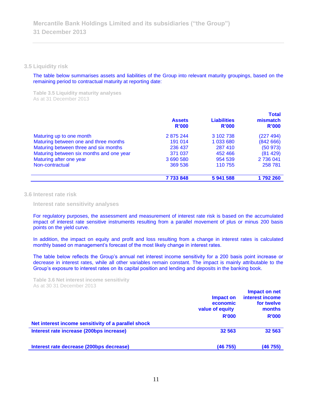**3.5 Liquidity risk** 

The table below summarises assets and liabilities of the Group into relevant maturity groupings, based on the remaining period to contractual maturity at reporting date:

**Table 3.5 Liquidity maturity analyses** As at 31 December 2013

|                                          | <b>Assets</b><br>R'000 | <b>Liabilities</b><br><b>R'000</b> | <b>Total</b><br>mismatch<br>R'000 |
|------------------------------------------|------------------------|------------------------------------|-----------------------------------|
| Maturing up to one month                 | 2 875 244              | 3 102 738                          | (227 494)                         |
| Maturing between one and three months    | 191 014                | 1 033 680                          | (84266)                           |
| Maturing between three and six months    | 236 437                | 287 410                            | (50973)                           |
| Maturing between six months and one year | 371 037                | 452 466                            | (81429)                           |
| Maturing after one year                  | 3 690 580              | 954 539                            | 2 736 041                         |
| Non-contractual                          | 369 536                | 110 755                            | 258 781                           |
|                                          | 7733848                | 5941588                            | 1792260                           |

**3.6 Interest rate risk** 

**Interest rate sensitivity analyses**

For regulatory purposes, the assessment and measurement of interest rate risk is based on the accumulated impact of interest rate sensitive instruments resulting from a parallel movement of plus or minus 200 basis points on the yield curve.

In addition, the impact on equity and profit and loss resulting from a change in interest rates is calculated monthly based on management's forecast of the most likely change in interest rates.

The table below reflects the Group's annual net interest income sensitivity for a 200 basis point increase or decrease in interest rates, while all other variables remain constant. The impact is mainly attributable to the Group's exposure to interest rates on its capital position and lending and deposits in the banking book.

**Table 3.6 Net interest income sensitivity** As at 30 31 December 2013

|                                                     | Impact on<br>economic<br>value of equity<br><b>R'000</b> | Impact on net<br>interest income<br>for twelve<br>months<br><b>R'000</b> |
|-----------------------------------------------------|----------------------------------------------------------|--------------------------------------------------------------------------|
| Net interest income sensitivity of a parallel shock |                                                          |                                                                          |
| Interest rate increase (200bps increase)            | 32 563                                                   | 32 563                                                                   |
| Interest rate decrease (200bps decrease)            | (46755)                                                  | (46 755)                                                                 |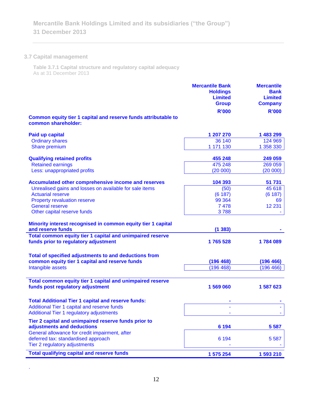# **3.7 Capital management**

.

**Table 3.7.1 Capital structure and regulatory capital adequacy** As at 31 December 2013

|                                                                                                                        | <b>Mercantile Bank</b><br><b>Holdings</b><br><b>Limited</b><br><b>Group</b> | <b>Mercantile</b><br><b>Bank</b><br><b>Limited</b><br><b>Company</b> |
|------------------------------------------------------------------------------------------------------------------------|-----------------------------------------------------------------------------|----------------------------------------------------------------------|
|                                                                                                                        | <b>R'000</b>                                                                | <b>R'000</b>                                                         |
| Common equity tier 1 capital and reserve funds attributable to<br>common shareholder:                                  |                                                                             |                                                                      |
| <b>Paid up capital</b>                                                                                                 | 1 207 270                                                                   | 1 483 299                                                            |
| <b>Ordinary shares</b>                                                                                                 | 36 140                                                                      | 124 969                                                              |
| Share premium                                                                                                          | 1 171 130                                                                   | 1 358 330                                                            |
| <b>Qualifying retained profits</b>                                                                                     | 455 248                                                                     | 249 059                                                              |
| <b>Retained earnings</b>                                                                                               | 475 248                                                                     | 269 059                                                              |
| Less: unappropriated profits                                                                                           | (20000)                                                                     | (20 000)                                                             |
| Accumulated other comprehensive income and reserves                                                                    | 104 393                                                                     | 51 731                                                               |
| Unrealised gains and losses on available for sale items                                                                | (50)                                                                        | 45 618                                                               |
| <b>Actuarial reserve</b>                                                                                               | (6187)                                                                      | (6187)                                                               |
| Property revaluation reserve                                                                                           | 99 364                                                                      | 69                                                                   |
| <b>General reserve</b>                                                                                                 | 7 4 7 8                                                                     | 12 2 31                                                              |
| Other capital reserve funds                                                                                            | 3788                                                                        |                                                                      |
| Minority interest recognised in common equity tier 1 capital                                                           |                                                                             |                                                                      |
| and reserve funds                                                                                                      | (1383)                                                                      |                                                                      |
| Total common equity tier 1 capital and unimpaired reserve<br>funds prior to regulatory adjustment                      | 1765 528                                                                    | 1784089                                                              |
| Total of specified adjustments to and deductions from<br>common equity tier 1 capital and reserve funds                | (196 468)                                                                   | (196 466)                                                            |
| Intangible assets                                                                                                      | (196 468)                                                                   | (196 466)                                                            |
|                                                                                                                        |                                                                             |                                                                      |
| Total common equity tier 1 capital and unimpaired reserve<br>funds post regulatory adjustment                          | 1 569 060                                                                   | 1 587 623                                                            |
| <b>Total Additional Tier 1 capital and reserve funds:</b>                                                              |                                                                             |                                                                      |
| Additional Tier 1 capital and reserve funds<br>Additional Tier 1 regulatory adjustments                                |                                                                             |                                                                      |
| Tier 2 capital and unimpaired reserve funds prior to                                                                   |                                                                             |                                                                      |
| adjustments and deductions                                                                                             | 6 1 9 4                                                                     | 5 5 8 7                                                              |
| General allowance for credit impairment, after<br>deferred tax: standardised approach<br>Tier 2 regulatory adjustments | 6 1 9 4                                                                     | 5 5 8 7                                                              |
| <b>Total qualifying capital and reserve funds</b>                                                                      | 1 575 254                                                                   | 1 593 210                                                            |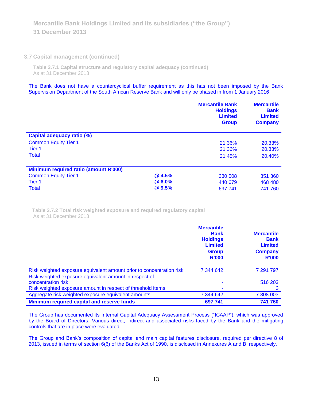# **3.7 Capital management (continued)**

**Table 3.7.1 Capital structure and regulatory capital adequacy (continued)** As at 31 December 2013

The Bank does not have a countercyclical buffer requirement as this has not been imposed by the Bank Supervision Department of the South African Reserve Bank and will only be phased in from 1 January 2016.

|                                       |               | <b>Mercantile Bank</b><br><b>Holdings</b><br><b>Limited</b><br><b>Group</b> | <b>Mercantile</b><br><b>Bank</b><br><b>Limited</b><br><b>Company</b> |
|---------------------------------------|---------------|-----------------------------------------------------------------------------|----------------------------------------------------------------------|
| <b>Capital adequacy ratio (%)</b>     |               |                                                                             |                                                                      |
| <b>Common Equity Tier 1</b>           |               | 21.36%                                                                      | 20.33%                                                               |
| Tier <sub>1</sub>                     |               | 21.36%                                                                      | 20.33%                                                               |
| <b>Total</b>                          |               | 21.45%                                                                      | 20.40%                                                               |
|                                       |               |                                                                             |                                                                      |
| Minimum required ratio (amount R'000) |               |                                                                             |                                                                      |
| <b>Common Equity Tier 1</b>           | @4.5%         | 330 508                                                                     | 351 360                                                              |
| Tier 1                                | <b>@6.0%</b>  | 440 679                                                                     | 468 480                                                              |
| <b>Total</b>                          | <b>@</b> 9.5% | 697 741                                                                     | 741 760                                                              |

**Table 3.7.2 Total risk weighted exposure and required regulatory capital** As at 31 December 2013

|                                                                                                                                | <b>Mercantile</b><br><b>Bank</b><br><b>Holdings</b><br><b>Limited</b><br><b>Group</b><br><b>R'000</b> | <b>Mercantile</b><br><b>Bank</b><br><b>Limited</b><br><b>Company</b><br><b>R'000</b> |
|--------------------------------------------------------------------------------------------------------------------------------|-------------------------------------------------------------------------------------------------------|--------------------------------------------------------------------------------------|
| Risk weighted exposure equivalent amount prior to concentration risk<br>Risk weighted exposure equivalent amount in respect of | 7 344 642                                                                                             | 7 291 797                                                                            |
| concentration risk                                                                                                             |                                                                                                       | 516 203                                                                              |
| Risk weighted exposure amount in respect of threshold items                                                                    |                                                                                                       | 3                                                                                    |
| Aggregate risk weighted exposure equivalent amounts                                                                            | 7 344 642                                                                                             | 7808003                                                                              |
| Minimum required capital and reserve funds                                                                                     | 697 741                                                                                               | 741 760                                                                              |

The Group has documented its Internal Capital Adequacy Assessment Process ("ICAAP"), which was approved by the Board of Directors. Various direct, indirect and associated risks faced by the Bank and the mitigating controls that are in place were evaluated.

The Group and Bank's composition of capital and main capital features disclosure, required per directive 8 of 2013, issued in terms of section 6(6) of the Banks Act of 1990, is disclosed in Annexures A and B, respectively.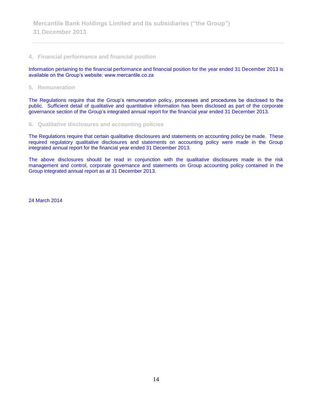# **4. Financial performance and financial position**

Information pertaining to the financial performance and financial position for the year ended 31 December 2013 is available on the Group's website: www.mercantile.co.za

**5. Remuneration**

The Regulations require that the Group's remuneration policy, processes and procedures be disclosed to the public. Sufficient detail of qualitative and quantitative information has been disclosed as part of the corporate governance section of the Group's integrated annual report for the financial year ended 31 December 2013.

## **6. Qualitative disclosures and accounting policies**

The Regulations require that certain qualitative disclosures and statements on accounting policy be made. These required regulatory qualitative disclosures and statements on accounting policy were made in the Group integrated annual report for the financial year ended 31 December 2013.

The above disclosures should be read in conjunction with the qualitative disclosures made in the risk management and control, corporate governance and statements on Group accounting policy contained in the Group integrated annual report as at 31 December 2013.

24 March 2014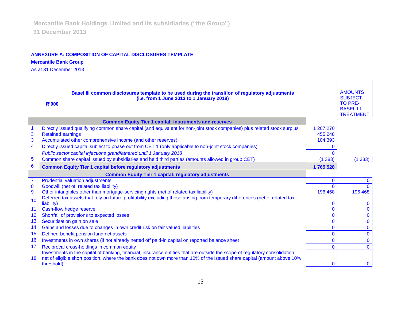# **ANNEXURE A: COMPOSITION OF CAPITAL DISCLOSURES TEMPLATE**

**Mercantile Bank Group** 

As at 31 December 2013

|                         | Basel III common disclosures template to be used during the transition of regulatory adjustments<br>(i.e. from 1 June 2013 to 1 January 2018)<br><b>R'000</b> |                             | <b>AMOUNTS</b><br><b>SUBJECT</b><br><b>TO PRE-</b><br><b>BASEL III</b><br><b>TREATMENT</b> |
|-------------------------|---------------------------------------------------------------------------------------------------------------------------------------------------------------|-----------------------------|--------------------------------------------------------------------------------------------|
|                         | <b>Common Equity Tier 1 capital: instruments and reserves</b>                                                                                                 |                             |                                                                                            |
|                         | Directly issued qualifying common share capital (and equivalent for non-joint stock companies) plus related stock surplus                                     | 1 207 270                   |                                                                                            |
| $\overline{2}$          | <b>Retained earnings</b>                                                                                                                                      | 455 248                     |                                                                                            |
| 3                       | Accumulated other comprehensive income (and other reserves)                                                                                                   | 104 393                     |                                                                                            |
| $\overline{\mathbf{4}}$ | Directly issued capital subject to phase out from CET 1 (only applicable to non-joint stock companies)                                                        | O                           |                                                                                            |
|                         | Public sector capital injections grandfathered until 1 January 2018                                                                                           | 0                           |                                                                                            |
| 5                       | Common share capital issued by subsidiaries and held third parties (amounts allowed in group CET)                                                             | (1383)                      | (1383)                                                                                     |
| 6                       | <b>Common Equity Tier 1 capital before regulatory adjustments</b>                                                                                             | 1765 528                    |                                                                                            |
|                         | <b>Common Equity Tier 1 capital: regulatory adjustments</b>                                                                                                   |                             |                                                                                            |
| $\overline{7}$          | <b>Prudential valuation adjustments</b>                                                                                                                       | $\mathbf 0$                 | 0                                                                                          |
| 8                       | Goodwill (net of related tax liability)                                                                                                                       | $\Omega$                    |                                                                                            |
| $\overline{9}$          | Other intangibles other than mortgage-servicing rights (net of related tax liability)                                                                         | 196 468                     | 196 468                                                                                    |
| 10                      | Deferred tax assets that rely on future profitability excluding those arising from temporary differences (net of related tax                                  |                             |                                                                                            |
| 11                      | liability)                                                                                                                                                    | $\mathbf{0}$<br>$\mathbf 0$ | 0<br>$\mathbf{0}$                                                                          |
| 12                      | Cash-flow hedge reserve<br>Shortfall of provisions to expected losses                                                                                         | $\overline{0}$              | $\mathbf 0$                                                                                |
| 13                      | Securitisation gain on sale                                                                                                                                   | $\mathbf{0}$                | $\mathbf{0}$                                                                               |
| 14                      | Gains and losses due to changes in own credit risk on fair valued liabilities                                                                                 | $\mathbf{0}$                | $\mathbf{0}$                                                                               |
| 15                      | Defined-benefit pension fund net assets                                                                                                                       | $\mathbf{0}$                | $\mathbf{0}$                                                                               |
| 16                      | Investments in own shares (if not already netted off paid-in capital on reported balance sheet                                                                | $\mathbf{0}$                | $\mathbf{0}$                                                                               |
| 17                      | Reciprocal cross-holdings in common equity                                                                                                                    | $\Omega$                    | $\Omega$                                                                                   |
|                         | Investments in the capital of banking, financial, insurance entities that are outside the scope of regulatory consolidation,                                  |                             |                                                                                            |
| 18                      | net of eligible short position, where the bank does not own more than 10% of the issued share capital (amount above 10%                                       |                             |                                                                                            |
|                         | threshold)                                                                                                                                                    | $\Omega$                    | $\mathbf{0}$                                                                               |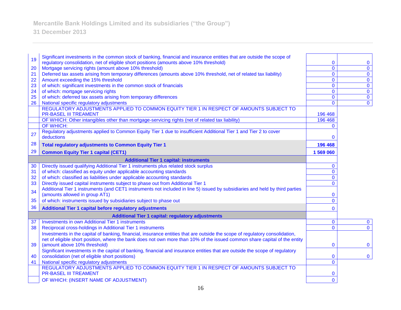| 19 | Significant investments in the common stock of banking, financial and insurance entities that are outside the scope of                                                          |                            |                            |
|----|---------------------------------------------------------------------------------------------------------------------------------------------------------------------------------|----------------------------|----------------------------|
| 20 | regulatory consolidation, net of eligible short positions (amounts above 10% threshold)<br>Mortgage servicing rights (amount above 10% threshold)                               | $\bf{0}$<br>$\overline{0}$ | $\bf{0}$<br>$\overline{0}$ |
| 21 | Deferred tax assets arising from temporary differences (amounts above 10% threshold, net of related tax liability)                                                              | $\mathbf 0$                | $\mathbf{0}$               |
| 22 | Amount exceeding the 15% threshold                                                                                                                                              | $\mathbf 0$                | $\mathbf 0$                |
| 23 | of which: significant investments in the common stock of financials                                                                                                             | $\mathbf{0}$               | $\mathbf 0$                |
| 24 | of which: mortgage servicing rights                                                                                                                                             | $\mathbf 0$                | $\overline{0}$             |
| 25 | of which: deferred tax assets arising from temporary differences                                                                                                                | $\mathbf{0}$               | $\mathbf{0}$               |
| 26 | National specific regulatory adjustments                                                                                                                                        | $\mathbf{0}$               | $\mathbf 0$                |
|    | REGULATORY ADJUSTMENTS APPLIED TO COMMON EQUITY TIER 1 IN RESPECT OF AMOUNTS SUBJECT TO<br><b>PR-BASEL III TREAMENT</b>                                                         | 196 468                    |                            |
|    | OF WHICH: Other intangibles other than mortgage-servicing rights (net of related tax liability)                                                                                 | 196 468                    |                            |
|    | OF WHICH:                                                                                                                                                                       | $\mathbf{0}$               |                            |
|    | Regulatory adjustments applied to Common Equity Tier 1 due to insufficient Additional Tier 1 and Tier 2 to cover                                                                |                            |                            |
| 27 | deductions                                                                                                                                                                      | $\mathbf{0}$               |                            |
| 28 | <b>Total regulatory adjustments to Common Equity Tier 1</b>                                                                                                                     | 196 468                    |                            |
| 29 | <b>Common Equity Tier 1 capital (CET1)</b>                                                                                                                                      | 1 569 060                  |                            |
|    | <b>Additional Tier 1 capital: instruments</b>                                                                                                                                   |                            |                            |
| 30 | Directly issued qualifying Additional Tier 1 instruments plus related stock surplus                                                                                             | $\bf{0}$                   |                            |
| 31 | of which: classified as equity under applicable accounting standards                                                                                                            | $\mathbf 0$                |                            |
| 32 | of which: classified as liabilities under applicable accounting standards                                                                                                       | $\mathbf{0}$               |                            |
| 33 | Directly issued capital instruments subject to phase out from Additional Tier 1                                                                                                 | $\mathbf{0}$               |                            |
| 34 | Additional Tier 1 instruments (and CET1 instruments not included in line 5) issued by subsidiaries and held by third parties                                                    |                            |                            |
|    | (amounts allowed in group AT1)                                                                                                                                                  | $\bf{0}$                   |                            |
| 35 | of which: instruments issued by subsidiaries subject to phase out                                                                                                               | $\overline{0}$             |                            |
| 36 | Additional Tier 1 capital before regulatory adjustments                                                                                                                         | $\mathbf{0}$               |                            |
|    | <b>Additional Tier 1 capital: regulatory adjustments</b>                                                                                                                        |                            |                            |
| 37 | <b>Investments in own Additional Tier 1 instruments</b>                                                                                                                         | $\mathbf 0$                | $\mathbf 0$                |
| 38 | Reciprocal cross-holdings in Additional Tier 1 instruments                                                                                                                      | $\mathbf 0$                | $\mathbf 0$                |
|    | Investments in the capital of banking, financial, insurance entities that are outside the scope of regulatory consolidation,                                                    |                            |                            |
|    | net of eligible short position, where the bank does not own more than 10% of the issued common share capital of the entity                                                      |                            |                            |
| 39 | (amount above 10% threshold)                                                                                                                                                    | $\bf{0}$                   | $\mathbf{0}$               |
| 40 | Significant investments in the capital of banking, financial and insurance entities that are outside the scope of regulatory<br>consolidation (net of eligible short positions) | $\mathbf{0}$               | $\mathbf 0$                |
| 41 | National specific regulatory adjustments                                                                                                                                        | $\mathbf{0}$               |                            |
|    | REGULATORY ADJUSTMENTS APPLIED TO COMMON EQUITY TIER 1 IN RESPECT OF AMOUNTS SUBJECT TO                                                                                         |                            |                            |
|    | <b>PR-BASEL III TREAMENT</b>                                                                                                                                                    | $\mathbf 0$                |                            |
|    | OF WHICH: (INSERT NAME OF ADJUSTMENT)                                                                                                                                           | $\mathbf 0$                |                            |
|    |                                                                                                                                                                                 |                            |                            |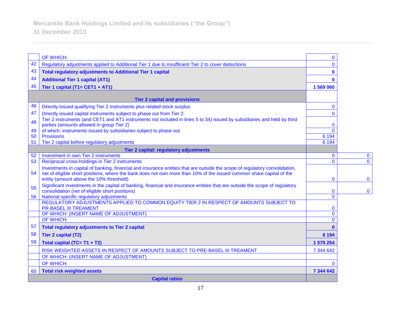|    | OF WHICH:                                                                                                                                                                                                                                                                                      | $\mathbf{0}$   |              |
|----|------------------------------------------------------------------------------------------------------------------------------------------------------------------------------------------------------------------------------------------------------------------------------------------------|----------------|--------------|
| 42 | Regulatory adjustments applied to Additional Tier 1 due to insufficient Tier 2 to cover deductions                                                                                                                                                                                             | $\Omega$       |              |
| 43 | <b>Total regulatory adjustments to Additional Tier 1 capital</b>                                                                                                                                                                                                                               | 0              |              |
| 44 | <b>Additional Tier 1 capital (AT1)</b>                                                                                                                                                                                                                                                         | O              |              |
| 45 | Tier 1 capital (T1= CET1 + AT1)                                                                                                                                                                                                                                                                | 1 569 060      |              |
|    |                                                                                                                                                                                                                                                                                                |                |              |
|    | <b>Tier 2 capital and provisions</b>                                                                                                                                                                                                                                                           |                |              |
| 46 | Directly issued qualifying Tier 2 instruments plus related stock surplus                                                                                                                                                                                                                       | $\mathbf{0}$   |              |
| 47 | Directly issued capital instruments subject to phase out from Tier 2                                                                                                                                                                                                                           | $\Omega$       |              |
| 48 | Tier 2 instruments (and CET1 and AT1 instruments not included in lines 5 to 34) issued by subsidiaries and held by third<br>parties (amounts allowed in group Tier 2)                                                                                                                          | 0              |              |
| 49 | of which: instruments issued by subsidiaries subject to phase out                                                                                                                                                                                                                              | $\Omega$       |              |
| 50 | <b>Provisions</b>                                                                                                                                                                                                                                                                              | 6 1 9 4        |              |
| 51 | Tier 2 capital before regulatory adjustments                                                                                                                                                                                                                                                   | 6 1 9 4        |              |
|    | Tier 2 capital: regulatory adjustments                                                                                                                                                                                                                                                         |                |              |
| 52 | Investment in own Tier 2 instruments                                                                                                                                                                                                                                                           | $\mathbf{0}$   | $\mathbf{0}$ |
| 53 | Reciprocal cross-holdings in Tier 2 instruments                                                                                                                                                                                                                                                | $\Omega$       | $\Omega$     |
| 54 | Investments in capital of banking, financial and insurance entities that are outside the scope of regulatory consolidation,<br>net of eligible short positions, where the bank does not own more than 10% of the issued common share capital of the<br>entity (amount above the 10% threshold) | 0              | $\mathbf{0}$ |
| 55 | Significant investments in the capital of banking, financial and insurance entities that are outside the scope of regulatory<br>consolidation (net of eligible short positions)                                                                                                                | 0              | $\mathbf 0$  |
| 56 | National specific regulatory adjustments<br>REGULATORY ADJUSTMENTS APPLIED TO COMMON EQUITY TIER 2 IN RESPECT OF AMOUNTS SUBJECT TO                                                                                                                                                            | $\Omega$       |              |
|    | <b>PR-BASEL III TREAMENT</b>                                                                                                                                                                                                                                                                   | 0              |              |
|    | OF WHICH: (INSERT NAME OF ADJUSTMENT)                                                                                                                                                                                                                                                          | $\overline{0}$ |              |
|    | <b>OF WHICH:</b>                                                                                                                                                                                                                                                                               | $\Omega$       |              |
| 57 | <b>Total regulatory adjustments to Tier 2 capital</b>                                                                                                                                                                                                                                          | $\bf{0}$       |              |
| 58 | <b>Tier 2 capital (T2)</b>                                                                                                                                                                                                                                                                     | 6 1 9 4        |              |
| 59 | Total capital (TC= T1 + T2)                                                                                                                                                                                                                                                                    | 1 575 254      |              |
|    | RISK WEIGHTED ASSETS IN RESPECT OF AMOUNTS SUBJECT TO PRE-BASEL III TREAMENT                                                                                                                                                                                                                   | 7 344 642      |              |
|    | OF WHICH: (INSERT NAME OF ADJUSTMENT)                                                                                                                                                                                                                                                          |                |              |
|    | OF WHICH:                                                                                                                                                                                                                                                                                      | $\Omega$       |              |
| 60 | <b>Total risk weighted assets</b>                                                                                                                                                                                                                                                              | 7 344 642      |              |
|    | <b>Capital ratios</b>                                                                                                                                                                                                                                                                          |                |              |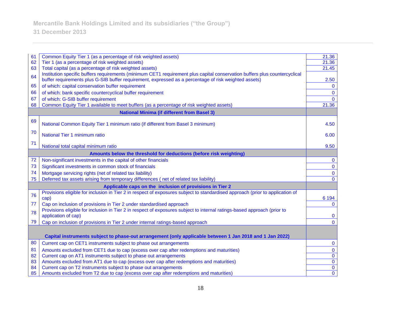| 61 | Common Equity Tier 1 (as a percentage of risk weighted assets)                                                                | 21.36                   |
|----|-------------------------------------------------------------------------------------------------------------------------------|-------------------------|
| 62 | Tier 1 (as a percentage of risk weighted assets)                                                                              | 21.36                   |
| 63 | Total capital (as a percentage of risk weighted assets)                                                                       | 21.45                   |
|    | Institution specific buffers requirements (minimum CET1 requirement plus capital conservation buffers plus countercyclical    |                         |
| 64 | buffer requirements plus G-SIB buffer requirement, expressed as a percentage of risk weighted assets)                         | 2.50                    |
| 65 | of which: capital conservation buffer requirement                                                                             | $\mathbf{0}$            |
| 66 | of which: bank specific countercyclical buffer requirement                                                                    | $\mathbf{0}$            |
| 67 | of which: G-SIB buffer requirement                                                                                            | $\Omega$                |
| 68 | Common Equity Tier 1 available to meet buffers (as a percentage of risk weighted assets)                                      | 21.36                   |
|    | <b>National Minima (if different from Basel 3)</b>                                                                            |                         |
| 69 |                                                                                                                               |                         |
|    | National Common Equity Tier 1 minimum ratio (if different from Basel 3 minimum)                                               | 4.50                    |
| 70 | National Tier 1 minimum ratio                                                                                                 | 6.00                    |
|    |                                                                                                                               |                         |
| 71 | National total capital minimum ratio                                                                                          | 9.50                    |
|    | Amounts below the threshold for deductions (before risk weighting)                                                            |                         |
| 72 | Non-significant investments in the capital of other financials                                                                | $\mathbf 0$             |
| 73 | Significant investments in common stock of financials                                                                         | $\mathbf 0$             |
| 74 | Mortgage servicing rights (net of related tax liability)                                                                      | $\mathbf 0$             |
| 75 | Deferred tax assets arising from temporary differences (net of related tax liability)                                         | $\mathbf{0}$            |
|    | Applicable caps on the inclusion of provisions in Tier 2                                                                      |                         |
|    | Provisions eligible for inclusion in Tier 2 in respect of exposures subject to standardised approach (prior to application of |                         |
| 76 | cap)                                                                                                                          | 6 1 9 4                 |
| 77 | Cap on inclusion of provisions in Tier 2 under standardised approach                                                          | $\Omega$                |
| 78 | Provisions eligible for inclusion in Tier 2 in respect of exposures subject to internal ratings-based approach (prior to      |                         |
|    | application of cap)                                                                                                           | $\bf{0}$                |
| 79 | Cap on inclusion of provisions in Tier 2 under internal ratings-based approach                                                | $\Omega$                |
|    |                                                                                                                               |                         |
|    | Capital instruments subject to phase-out arrangement (only applicable between 1 Jan 2018 and 1 Jan 2022)                      |                         |
| 80 | Current cap on CET1 instruments subject to phase out arrangements                                                             | $\mathbf{0}$            |
| 81 | Amounts excluded from CET1 due to cap (excess over cap after redemptions and maturities)                                      | $\pmb{0}$               |
| 82 | Current cap on AT1 instruments subject to phase out arrangements                                                              | $\mathbf 0$             |
| 83 | Amounts excluded from AT1 due to cap (excess over cap after redemptions and maturities)                                       | $\pmb{0}$               |
| 84 | Current cap on T2 instruments subject to phase out arrangements                                                               | $\overline{\mathbf{0}}$ |
| 85 | Amounts excluded from T2 due to cap (excess over cap after redemptions and maturities)                                        | $\overline{0}$          |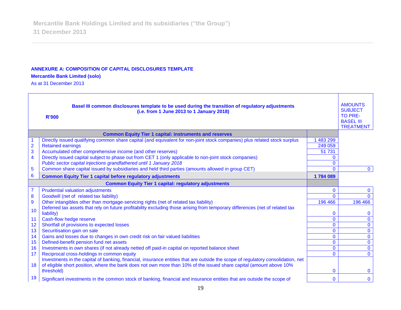#### **ANNEXURE A: COMPOSITION OF CAPITAL DISCLOSURES TEMPLATE**

## **Mercantile Bank Limited (solo)**

As at 31 December 2013

|                | Basel III common disclosures template to be used during the transition of regulatory adjustments<br>(i.e. from 1 June 2013 to 1 January 2018)<br><b>R'000</b>                                                                                           |              | <b>AMOUNTS</b><br><b>SUBJECT</b><br>TO PRE-<br><b>BASEL III</b><br><b>TREATMENT</b> |
|----------------|---------------------------------------------------------------------------------------------------------------------------------------------------------------------------------------------------------------------------------------------------------|--------------|-------------------------------------------------------------------------------------|
|                | <b>Common Equity Tier 1 capital: instruments and reserves</b>                                                                                                                                                                                           |              |                                                                                     |
|                | Directly issued qualifying common share capital (and equivalent for non-joint stock companies) plus related stock surplus                                                                                                                               | 483 299      |                                                                                     |
| $\overline{2}$ | <b>Retained earnings</b>                                                                                                                                                                                                                                | 249 059      |                                                                                     |
| 3              | Accumulated other comprehensive income (and other reserves)                                                                                                                                                                                             | 51 731       |                                                                                     |
| 4              | Directly issued capital subject to phase out from CET 1 (only applicable to non-joint stock companies)                                                                                                                                                  |              |                                                                                     |
|                | Public sector capital injections grandfathered until 1 January 2018                                                                                                                                                                                     | $\mathbf{0}$ |                                                                                     |
| 5              | Common share capital issued by subsidiaries and held third parties (amounts allowed in group CET)                                                                                                                                                       | $\Omega$     | $\mathbf{0}$                                                                        |
| 6              | <b>Common Equity Tier 1 capital before regulatory adjustments</b>                                                                                                                                                                                       | 1784089      |                                                                                     |
|                | <b>Common Equity Tier 1 capital: regulatory adjustments</b>                                                                                                                                                                                             |              |                                                                                     |
| $\overline{7}$ | <b>Prudential valuation adjustments</b>                                                                                                                                                                                                                 | $\mathbf 0$  | $\mathbf{0}$                                                                        |
| 8              | Goodwill (net of related tax liability)                                                                                                                                                                                                                 | $\mathbf{0}$ | $\Omega$                                                                            |
| 9              | Other intangibles other than mortgage-servicing rights (net of related tax liability)                                                                                                                                                                   | 196 466      | 196 466                                                                             |
| 10             | Deferred tax assets that rely on future profitability excluding those arising from temporary differences (net of related tax<br>liability)                                                                                                              | $\bf{0}$     | $\mathbf{0}$                                                                        |
| 11             | Cash-flow hedge reserve                                                                                                                                                                                                                                 | $\mathbf{0}$ | $\mathbf 0$                                                                         |
| 12             | Shortfall of provisions to expected losses                                                                                                                                                                                                              | $\mathbf 0$  | $\overline{0}$                                                                      |
| 13             | Securitisation gain on sale                                                                                                                                                                                                                             | $\mathbf 0$  | $\mathbf{0}$                                                                        |
| 14             | Gains and losses due to changes in own credit risk on fair valued liabilities                                                                                                                                                                           | $\mathbf 0$  | $\mathbf 0$                                                                         |
| 15             | Defined-benefit pension fund net assets                                                                                                                                                                                                                 | $\mathbf 0$  | $\overline{0}$                                                                      |
| 16             | Investments in own shares (if not already netted off paid-in capital on reported balance sheet                                                                                                                                                          | $\mathbf 0$  | $\overline{0}$                                                                      |
| 17             | Reciprocal cross-holdings in common equity                                                                                                                                                                                                              | $\mathbf{0}$ | $\mathbf{0}$                                                                        |
| 18             | Investments in the capital of banking, financial, insurance entities that are outside the scope of regulatory consolidation, net<br>of eligible short position, where the bank does not own more than 10% of the issued share capital (amount above 10% |              |                                                                                     |
|                | threshold)                                                                                                                                                                                                                                              | 0            | $\mathbf 0$                                                                         |
| 19             | Significant investments in the common stock of banking, financial and insurance entities that are outside the scope of                                                                                                                                  | $\mathbf 0$  | $\mathbf 0$                                                                         |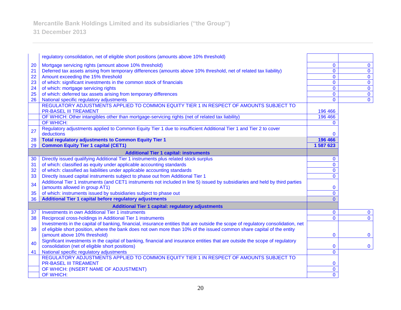**Mercantile Bank Holdings Limited and its subsidiaries ("the Group")**

|    | regulatory consolidation, net of eligible short positions (amounts above 10% threshold)                                          |              |                         |
|----|----------------------------------------------------------------------------------------------------------------------------------|--------------|-------------------------|
|    |                                                                                                                                  |              |                         |
| 20 | Mortgage servicing rights (amount above 10% threshold)                                                                           | $\mathbf{0}$ | $\mathbf 0$             |
| 21 | Deferred tax assets arising from temporary differences (amounts above 10% threshold, net of related tax liability)               | $\mathbf 0$  | $\overline{0}$          |
| 22 | Amount exceeding the 15% threshold                                                                                               | $\mathbf{0}$ | $\overline{0}$          |
| 23 | of which: significant investments in the common stock of financials                                                              | $\mathbf 0$  | $\overline{0}$          |
| 24 | of which: mortgage servicing rights                                                                                              | $\mathbf 0$  | $\overline{\mathbf{0}}$ |
| 25 | of which: deferred tax assets arising from temporary differences                                                                 | $\mathbf{0}$ | $\overline{0}$          |
| 26 | National specific regulatory adjustments                                                                                         | $\mathbf 0$  | $\overline{0}$          |
|    | REGULATORY ADJUSTMENTS APPLIED TO COMMON EQUITY TIER 1 IN RESPECT OF AMOUNTS SUBJECT TO                                          |              |                         |
|    | <b>PR-BASEL III TREAMENT</b>                                                                                                     | 196 466      |                         |
|    | OF WHICH: Other intangibles other than mortgage-servicing rights (net of related tax liability)                                  | 196 466      |                         |
|    | <b>OF WHICH:</b>                                                                                                                 | $\Omega$     |                         |
| 27 | Regulatory adjustments applied to Common Equity Tier 1 due to insufficient Additional Tier 1 and Tier 2 to cover                 |              |                         |
|    | deductions                                                                                                                       | 0            |                         |
| 28 | <b>Total regulatory adjustments to Common Equity Tier 1</b>                                                                      | 196 466      |                         |
| 29 | <b>Common Equity Tier 1 capital (CET1)</b>                                                                                       | 1 587 623    |                         |
|    | <b>Additional Tier 1 capital: instruments</b>                                                                                    |              |                         |
| 30 | Directly issued qualifying Additional Tier 1 instruments plus related stock surplus                                              | $\mathbf{0}$ |                         |
| 31 | of which: classified as equity under applicable accounting standards                                                             | $\mathbf{0}$ |                         |
| 32 | of which: classified as liabilities under applicable accounting standards                                                        | $\mathbf{0}$ |                         |
| 33 | Directly issued capital instruments subject to phase out from Additional Tier 1                                                  | $\mathbf{0}$ |                         |
| 34 | Additional Tier 1 instruments (and CET1 instruments not included in line 5) issued by subsidiaries and held by third parties     |              |                         |
|    | (amounts allowed in group AT1)                                                                                                   | $\mathbf{0}$ |                         |
| 35 | of which: instruments issued by subsidiaries subject to phase out                                                                | $\mathbf{0}$ |                         |
| 36 | Additional Tier 1 capital before regulatory adjustments                                                                          | $\Omega$     |                         |
|    | <b>Additional Tier 1 capital: regulatory adjustments</b>                                                                         |              |                         |
| 37 | <b>Investments in own Additional Tier 1 instruments</b>                                                                          | $\bf{0}$     | $\mathbf 0$             |
| 38 | Reciprocal cross-holdings in Additional Tier 1 instruments                                                                       | $\mathbf{0}$ | $\mathbf{0}$            |
|    | Investments in the capital of banking, financial, insurance entities that are outside the scope of regulatory consolidation, net |              |                         |
| 39 | of eligible short position, where the bank does not own more than 10% of the issued common share capital of the entity           |              |                         |
|    | (amount above 10% threshold)                                                                                                     | $\mathbf 0$  | $\mathbf 0$             |
| 40 | Significant investments in the capital of banking, financial and insurance entities that are outside the scope of regulatory     |              |                         |
|    | consolidation (net of eligible short positions)                                                                                  | $\bf{0}$     | $\mathbf{0}$            |
| 41 | National specific regulatory adjustments                                                                                         | $\mathbf{0}$ |                         |
|    | REGULATORY ADJUSTMENTS APPLIED TO COMMON EQUITY TIER 1 IN RESPECT OF AMOUNTS SUBJECT TO                                          |              |                         |
|    | <b>PR-BASEL III TREAMENT</b>                                                                                                     | $\mathbf 0$  |                         |
|    | OF WHICH: (INSERT NAME OF ADJUSTMENT)                                                                                            | $\mathbf{0}$ |                         |
|    | OF WHICH:                                                                                                                        | $\mathbf{0}$ |                         |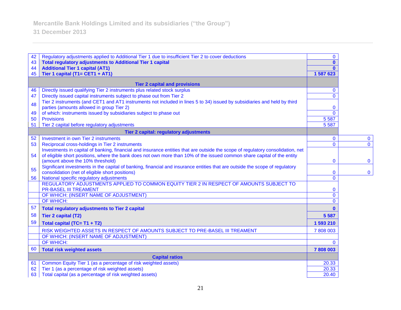| 42                    | Regulatory adjustments applied to Additional Tier 1 due to insufficient Tier 2 to cover deductions                                                                              | $\mathbf{0}$   |              |
|-----------------------|---------------------------------------------------------------------------------------------------------------------------------------------------------------------------------|----------------|--------------|
| 43                    | <b>Total regulatory adjustments to Additional Tier 1 capital</b>                                                                                                                |                |              |
| 44                    | <b>Additional Tier 1 capital (AT1)</b>                                                                                                                                          |                |              |
| 45                    | Tier 1 capital (T1= CET1 + AT1)                                                                                                                                                 | 1 587 623      |              |
|                       | <b>Tier 2 capital and provisions</b>                                                                                                                                            |                |              |
| 46                    | Directly issued qualifying Tier 2 instruments plus related stock surplus                                                                                                        | $\mathbf{0}$   |              |
| 47                    | Directly issued capital instruments subject to phase out from Tier 2                                                                                                            | $\overline{0}$ |              |
| 48                    | Tier 2 instruments (and CET1 and AT1 instruments not included in lines 5 to 34) issued by subsidiaries and held by third                                                        |                |              |
|                       | parties (amounts allowed in group Tier 2)                                                                                                                                       | 0              |              |
| 49                    | of which: instruments issued by subsidiaries subject to phase out                                                                                                               | $\overline{0}$ |              |
| 50                    | <b>Provisions</b>                                                                                                                                                               | 5 5 8 7        |              |
| 51                    | Tier 2 capital before regulatory adjustments                                                                                                                                    | 5 5 8 7        |              |
|                       | Tier 2 capital: regulatory adjustments                                                                                                                                          |                |              |
| 52                    | Investment in own Tier 2 instruments                                                                                                                                            | 0              | $\mathbf{0}$ |
| 53                    | Reciprocal cross-holdings in Tier 2 instruments                                                                                                                                 | $\mathbf{0}$   | $\mathbf{0}$ |
|                       | Investments in capital of banking, financial and insurance entities that are outside the scope of regulatory consolidation, net                                                 |                |              |
| 54                    | of eligible short positions, where the bank does not own more than 10% of the issued common share capital of the entity                                                         |                |              |
|                       | (amount above the 10% threshold)                                                                                                                                                | $\mathbf 0$    | $\bf{0}$     |
| 55                    | Significant investments in the capital of banking, financial and insurance entities that are outside the scope of regulatory<br>consolidation (net of eligible short positions) | 0              | $\mathbf 0$  |
| 56                    | National specific regulatory adjustments                                                                                                                                        | $\overline{0}$ |              |
|                       | REGULATORY ADJUSTMENTS APPLIED TO COMMON EQUITY TIER 2 IN RESPECT OF AMOUNTS SUBJECT TO                                                                                         |                |              |
|                       | <b>PR-BASEL III TREAMENT</b>                                                                                                                                                    | $\mathbf{0}$   |              |
|                       | OF WHICH: (INSERT NAME OF ADJUSTMENT)                                                                                                                                           | $\overline{0}$ |              |
|                       | OF WHICH:                                                                                                                                                                       | $\mathbf{0}$   |              |
| 57                    | <b>Total regulatory adjustments to Tier 2 capital</b>                                                                                                                           |                |              |
| 58                    | <b>Tier 2 capital (T2)</b>                                                                                                                                                      | 5 5 8 7        |              |
| 59                    | Total capital (TC= T1 + T2)                                                                                                                                                     | 1 593 210      |              |
|                       | RISK WEIGHTED ASSETS IN RESPECT OF AMOUNTS SUBJECT TO PRE-BASEL III TREAMENT                                                                                                    | 7 808 003      |              |
|                       | OF WHICH: (INSERT NAME OF ADJUSTMENT)                                                                                                                                           |                |              |
|                       | OF WHICH:                                                                                                                                                                       | $\mathbf{0}$   |              |
| 60                    | <b>Total risk weighted assets</b>                                                                                                                                               | 7808003        |              |
| <b>Capital ratios</b> |                                                                                                                                                                                 |                |              |
| 61                    | Common Equity Tier 1 (as a percentage of risk weighted assets)                                                                                                                  | 20.33          |              |
| 62                    | Tier 1 (as a percentage of risk weighted assets)                                                                                                                                | 20.33          |              |
| 63                    | Total capital (as a percentage of risk weighted assets)                                                                                                                         | 20.40          |              |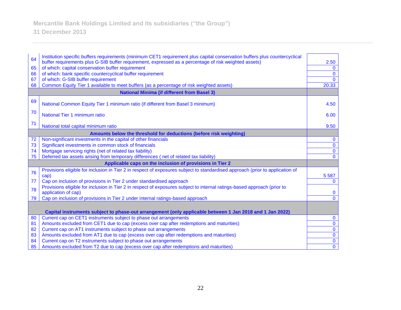| 64 | Institution specific buffers requirements (minimum CET1 requirement plus capital conservation buffers plus countercyclical                                 |                      |  |
|----|------------------------------------------------------------------------------------------------------------------------------------------------------------|----------------------|--|
| 65 | buffer requirements plus G-SIB buffer requirement, expressed as a percentage of risk weighted assets)<br>of which: capital conservation buffer requirement | 2.50<br>$\mathbf{0}$ |  |
| 66 | of which: bank specific countercyclical buffer requirement                                                                                                 | $\mathbf 0$          |  |
| 67 | of which: G-SIB buffer requirement                                                                                                                         | $\Omega$             |  |
| 68 | Common Equity Tier 1 available to meet buffers (as a percentage of risk weighted assets)                                                                   | 20.33                |  |
|    | <b>National Minima (if different from Basel 3)</b>                                                                                                         |                      |  |
|    |                                                                                                                                                            |                      |  |
| 69 | National Common Equity Tier 1 minimum ratio (if different from Basel 3 minimum)                                                                            | 4.50                 |  |
| 70 | National Tier 1 minimum ratio                                                                                                                              | 6.00                 |  |
| 71 | National total capital minimum ratio                                                                                                                       | 9.50                 |  |
|    | Amounts below the threshold for deductions (before risk weighting)                                                                                         |                      |  |
| 72 | Non-significant investments in the capital of other financials                                                                                             | $\mathbf 0$          |  |
| 73 | Significant investments in common stock of financials                                                                                                      | $\overline{0}$       |  |
| 74 | Mortgage servicing rights (net of related tax liability)                                                                                                   | $\overline{0}$       |  |
| 75 | Deferred tax assets arising from temporary differences (net of related tax liability)                                                                      | $\mathbf{0}$         |  |
|    | Applicable caps on the inclusion of provisions in Tier 2                                                                                                   |                      |  |
| 76 | Provisions eligible for inclusion in Tier 2 in respect of exposures subject to standardised approach (prior to application of                              |                      |  |
|    | cap)                                                                                                                                                       | 5 5 8 7              |  |
| 77 | Cap on inclusion of provisions in Tier 2 under standardised approach                                                                                       | $\mathbf{0}$         |  |
| 78 | Provisions eligible for inclusion in Tier 2 in respect of exposures subject to internal ratings-based approach (prior to                                   |                      |  |
|    | application of cap)                                                                                                                                        | $\mathbf{0}$         |  |
| 79 | Cap on inclusion of provisions in Tier 2 under internal ratings-based approach                                                                             | $\mathbf{0}$         |  |
|    |                                                                                                                                                            |                      |  |
|    | Capital instruments subject to phase-out arrangement (only applicable between 1 Jan 2018 and 1 Jan 2022)                                                   |                      |  |
| 80 | Current cap on CET1 instruments subject to phase out arrangements                                                                                          | $\bf{0}$             |  |
| 81 | Amounts excluded from CET1 due to cap (excess over cap after redemptions and maturities)                                                                   | $\mathbf{0}$         |  |
| 82 | Current cap on AT1 instruments subject to phase out arrangements                                                                                           | $\overline{0}$       |  |
| 83 | Amounts excluded from AT1 due to cap (excess over cap after redemptions and maturities)                                                                    | $\overline{0}$       |  |
| 84 | Current cap on T2 instruments subject to phase out arrangements                                                                                            | $\mathbf 0$          |  |
| 85 | Amounts excluded from T2 due to cap (excess over cap after redemptions and maturities)                                                                     | $\mathbf 0$          |  |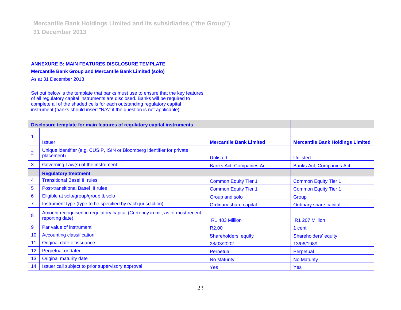#### **ANNEXURE B: MAIN FEATURES DISCLOSURE TEMPLATE**

**Mercantile Bank Group and Mercantile Bank Limited (solo)**

As at 31 December 2013

Set out below is the template that banks must use to ensure that the key features of all regulatory capital instruments are disclosed. Banks will be required to complete all of the shaded cells for each outstanding regulatory capital instrument (banks should insert "N/A" if the question is not applicable).

| Disclosure template for main features of regulatory capital instruments |                                                                                                |                                 |                                         |
|-------------------------------------------------------------------------|------------------------------------------------------------------------------------------------|---------------------------------|-----------------------------------------|
|                                                                         |                                                                                                |                                 |                                         |
|                                                                         | <b>Issuer</b>                                                                                  | <b>Mercantile Bank Limited</b>  | <b>Mercantile Bank Holdings Limited</b> |
| $\overline{2}$                                                          | Unique identifier (e.g. CUSIP, ISIN or Bloomberg identifier for private<br>placement)          | <b>Unlisted</b>                 | <b>Unlisted</b>                         |
| 3                                                                       | Governing Law(s) of the instrument                                                             | <b>Banks Act, Companies Act</b> | <b>Banks Act, Companies Act</b>         |
|                                                                         | <b>Regulatory treatment</b>                                                                    |                                 |                                         |
| $\overline{4}$                                                          | <b>Transitional Basel III rules</b>                                                            | <b>Common Equity Tier 1</b>     | <b>Common Equity Tier 1</b>             |
| $\overline{5}$                                                          | <b>Post-transitional Basel III rules</b>                                                       | <b>Common Equity Tier 1</b>     | <b>Common Equity Tier 1</b>             |
| $6\phantom{1}6$                                                         | Eligible at solo/group/group & solo                                                            | Group and solo                  | Group                                   |
| $\overline{7}$                                                          | Instrument type (type to be specified by each jurisdiction)                                    | <b>Ordinary share capital</b>   | <b>Ordinary share capital</b>           |
| 8                                                                       | Amount recognised in regulatory capital (Currency in mil, as of most recent<br>reporting date) | R1 483 Million                  | R1 207 Million                          |
| $\overline{9}$                                                          | Par value of instrument                                                                        | R <sub>2.00</sub>               | 1 cent                                  |
| 10                                                                      | <b>Accounting classification</b>                                                               | Shareholders' equity            | Shareholders' equity                    |
| 11                                                                      | Original date of issuance                                                                      | 28/03/2002                      | 13/06/1989                              |
| 12                                                                      | Perpetual or dated                                                                             | Perpetual                       | Perpetual                               |
| 13                                                                      | <b>Original maturity date</b>                                                                  | <b>No Maturity</b>              | <b>No Maturity</b>                      |
| 14                                                                      | Issuer call subject to prior supervisory approval                                              | <b>Yes</b>                      | <b>Yes</b>                              |